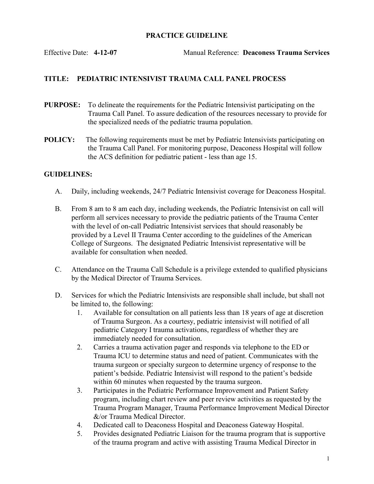## PRACTICE GUIDELINE

Effective Date: 4-12-07 Manual Reference: Deaconess Trauma Services

## TITLE: PEDIATRIC INTENSIVIST TRAUMA CALL PANEL PROCESS

- PURPOSE: To delineate the requirements for the Pediatric Intensivist participating on the Trauma Call Panel. To assure dedication of the resources necessary to provide for the specialized needs of the pediatric trauma population.
- POLICY: The following requirements must be met by Pediatric Intensivists participating on the Trauma Call Panel. For monitoring purpose, Deaconess Hospital will follow the ACS definition for pediatric patient - less than age 15.

## GUIDELINES:

- A. Daily, including weekends, 24/7 Pediatric Intensivist coverage for Deaconess Hospital.
- B. From 8 am to 8 am each day, including weekends, the Pediatric Intensivist on call will perform all services necessary to provide the pediatric patients of the Trauma Center with the level of on-call Pediatric Intensivist services that should reasonably be provided by a Level II Trauma Center according to the guidelines of the American College of Surgeons. The designated Pediatric Intensivist representative will be available for consultation when needed.
- C. Attendance on the Trauma Call Schedule is a privilege extended to qualified physicians by the Medical Director of Trauma Services.
- D. Services for which the Pediatric Intensivists are responsible shall include, but shall not be limited to, the following:
	- 1. Available for consultation on all patients less than 18 years of age at discretion of Trauma Surgeon. As a courtesy, pediatric intensivist will notified of all pediatric Category I trauma activations, regardless of whether they are immediately needed for consultation.
	- 2. Carries a trauma activation pager and responds via telephone to the ED or Trauma ICU to determine status and need of patient. Communicates with the trauma surgeon or specialty surgeon to determine urgency of response to the patient's bedside. Pediatric Intensivist will respond to the patient's bedside within 60 minutes when requested by the trauma surgeon.
	- 3. Participates in the Pediatric Performance Improvement and Patient Safety program, including chart review and peer review activities as requested by the Trauma Program Manager, Trauma Performance Improvement Medical Director &/or Trauma Medical Director.
	- 4. Dedicated call to Deaconess Hospital and Deaconess Gateway Hospital.
	- 5. Provides designated Pediatric Liaison for the trauma program that is supportive of the trauma program and active with assisting Trauma Medical Director in